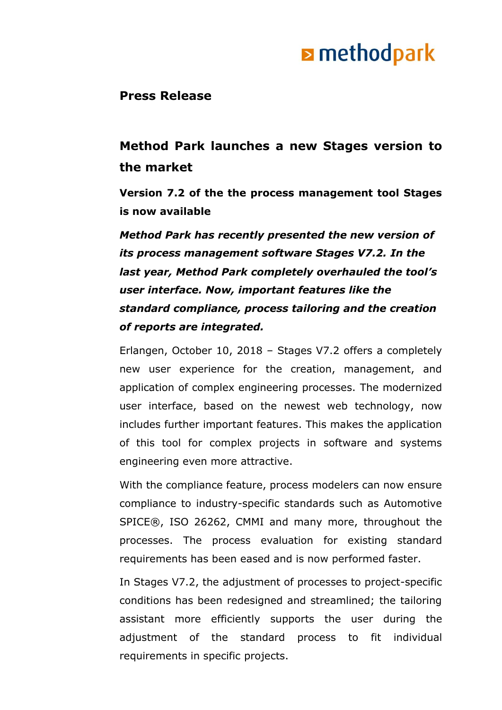# **E** methodpark

### **Press Release**

### **Method Park launches a new Stages version to the market**

**Version 7.2 of the the process management tool Stages is now available**

*Method Park has recently presented the new version of its process management software Stages V7.2. In the last year, Method Park completely overhauled the tool's user interface. Now, important features like the standard compliance, process tailoring and the creation of reports are integrated.*

Erlangen, October 10, 2018 – Stages V7.2 offers a completely new user experience for the creation, management, and application of complex engineering processes. The modernized user interface, based on the newest web technology, now includes further important features. This makes the application of this tool for complex projects in software and systems engineering even more attractive.

With the compliance feature, process modelers can now ensure compliance to industry-specific standards such as Automotive SPICE®, ISO 26262, CMMI and many more, throughout the processes. The process evaluation for existing standard requirements has been eased and is now performed faster.

In Stages V7.2, the adjustment of processes to project-specific conditions has been redesigned and streamlined; the tailoring assistant more efficiently supports the user during the adjustment of the standard process to fit individual requirements in specific projects.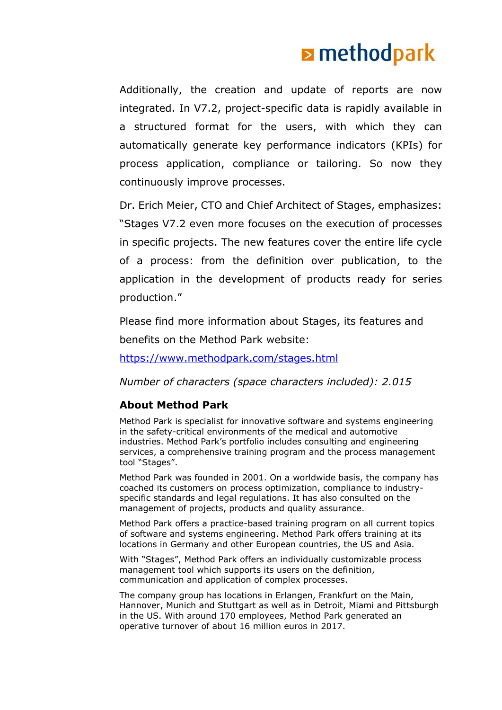# **E** methodpark

Additionally, the creation and update of reports are now integrated. In V7.2, project-specific data is rapidly available in a structured format for the users, with which they can automatically generate key performance indicators (KPIs) for process application, compliance or tailoring. So now they continuously improve processes.

Dr. Erich Meier, CTO and Chief Architect of Stages, emphasizes: "Stages V7.2 even more focuses on the execution of processes in specific projects. The new features cover the entire life cycle of a process: from the definition over publication, to the application in the development of products ready for series production."

Please find more information about Stages, its features and benefits on the Method Park website:

<https://www.methodpark.com/stages.html>

*Number of characters (space characters included): 2.015*

### **About Method Park**

Method Park is specialist for innovative software and systems engineering in the safety-critical environments of the medical and automotive industries. Method Park's portfolio includes consulting and engineering services, a comprehensive training program and the process management tool "Stages".

Method Park was founded in 2001. On a worldwide basis, the company has coached its customers on process optimization, compliance to industryspecific standards and legal regulations. It has also consulted on the management of projects, products and quality assurance.

Method Park offers a practice-based training program on all current topics of software and systems engineering. Method Park offers training at its locations in Germany and other European countries, the US and Asia.

With "Stages", Method Park offers an individually customizable process management tool which supports its users on the definition, communication and application of complex processes.

The company group has locations in Erlangen, Frankfurt on the Main, Hannover, Munich and Stuttgart as well as in Detroit, Miami and Pittsburgh in the US. With around 170 employees, Method Park generated an operative turnover of about 16 million euros in 2017.